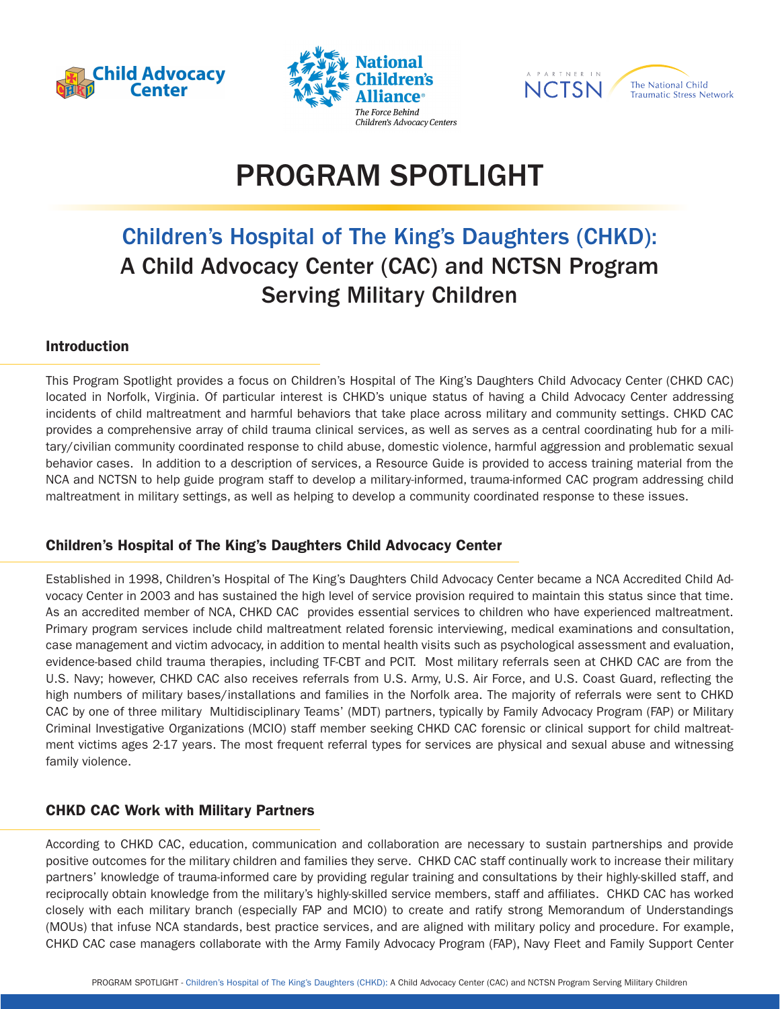





# PROGRAM SPOTLIGHT

## Children's Hospital of The King's Daughters (CHKD): A Child Advocacy Center (CAC) and NCTSN Program Serving Military Children

#### Introduction

This Program Spotlight provides a focus on Children's Hospital of The King's Daughters Child Advocacy Center (CHKD CAC) located in Norfolk, Virginia. Of particular interest is CHKD's unique status of having a Child Advocacy Center addressing incidents of child maltreatment and harmful behaviors that take place across military and community settings. CHKD CAC provides a comprehensive array of child trauma clinical services, as well as serves as a central coordinating hub for a military/civilian community coordinated response to child abuse, domestic violence, harmful aggression and problematic sexual behavior cases. In addition to a description of services, a Resource Guide is provided to access training material from the NCA and NCTSN to help guide program staff to develop a military-informed, trauma-informed CAC program addressing child maltreatment in military settings, as well as helping to develop a community coordinated response to these issues.

#### Children's Hospital of The King's Daughters Child Advocacy Center

Established in 1998, Children's Hospital of The King's Daughters Child Advocacy Center became a NCA Accredited Child Advocacy Center in 2003 and has sustained the high level of service provision required to maintain this status since that time. As an accredited member of NCA, CHKD CAC provides essential services to children who have experienced maltreatment. Primary program services include child maltreatment related forensic interviewing, medical examinations and consultation, case management and victim advocacy, in addition to mental health visits such as psychological assessment and evaluation, evidence-based child trauma therapies, including TF-CBT and PCIT. Most military referrals seen at CHKD CAC are from the U.S. Navy; however, CHKD CAC also receives referrals from U.S. Army, U.S. Air Force, and U.S. Coast Guard, reflecting the high numbers of military bases/installations and families in the Norfolk area. The majority of referrals were sent to CHKD CAC by one of three military Multidisciplinary Teams' (MDT) partners, typically by Family Advocacy Program (FAP) or Military Criminal Investigative Organizations (MCIO) staff member seeking CHKD CAC forensic or clinical support for child maltreatment victims ages 2-17 years. The most frequent referral types for services are physical and sexual abuse and witnessing family violence.

#### CHKD CAC Work with Military Partners

According to CHKD CAC, education, communication and collaboration are necessary to sustain partnerships and provide positive outcomes for the military children and families they serve. CHKD CAC staff continually work to increase their military partners' knowledge of trauma-informed care by providing regular training and consultations by their highly-skilled staff, and reciprocally obtain knowledge from the military's highly-skilled service members, staff and affiliates. CHKD CAC has worked closely with each military branch (especially FAP and MCIO) to create and ratify strong Memorandum of Understandings (MOUs) that infuse NCA standards, best practice services, and are aligned with military policy and procedure. For example, CHKD CAC case managers collaborate with the Army Family Advocacy Program (FAP), Navy Fleet and Family Support Center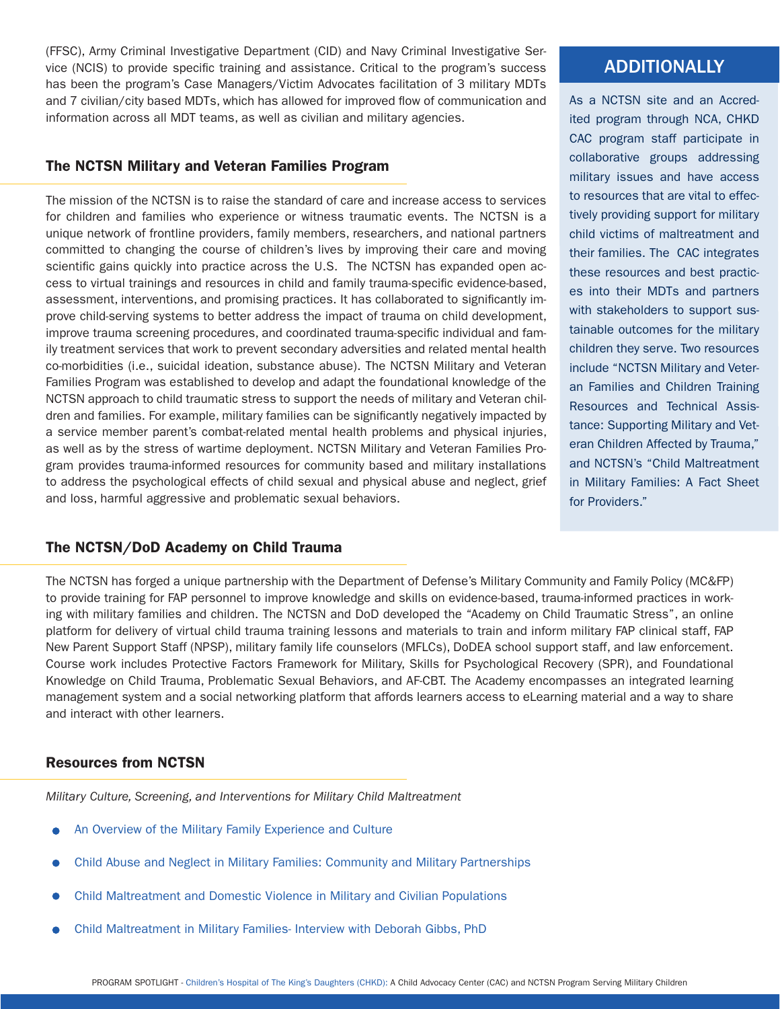(FFSC), Army Criminal Investigative Department (CID) and Navy Criminal Investigative Service (NCIS) to provide specific training and assistance. Critical to the program's success has been the program's Case Managers/Victim Advocates facilitation of 3 military MDTs and 7 civilian/city based MDTs, which has allowed for improved flow of communication and information across all MDT teams, as well as civilian and military agencies.

#### The NCTSN Military and Veteran Families Program

The mission of the NCTSN is to raise the standard of care and increase access to services for children and families who experience or witness traumatic events. The NCTSN is a unique network of frontline providers, family members, researchers, and national partners committed to changing the course of children's lives by improving their care and moving scientific gains quickly into practice across the U.S. The NCTSN has expanded open access to virtual trainings and resources in child and family trauma-specific evidence-based, assessment, interventions, and promising practices. It has collaborated to significantly improve child-serving systems to better address the impact of trauma on child development, improve trauma screening procedures, and coordinated trauma-specific individual and family treatment services that work to prevent secondary adversities and related mental health co-morbidities (i.e., suicidal ideation, substance abuse). The NCTSN Military and Veteran Families Program was established to develop and adapt the foundational knowledge of the NCTSN approach to child traumatic stress to support the needs of military and Veteran children and families. For example, military families can be significantly negatively impacted by a service member parent's combat-related mental health problems and physical injuries, as well as by the stress of wartime deployment. NCTSN Military and Veteran Families Program provides trauma-informed resources for community based and military installations to address the psychological effects of child sexual and physical abuse and neglect, grief and loss, harmful aggressive and problematic sexual behaviors.

#### The NCTSN/DoD Academy on Child Trauma

#### The NCTSN has forged a unique partnership with the Department of Defense's Military Community and Family Policy (MC&FP) to provide training for FAP personnel to improve knowledge and skills on evidence-based, trauma-informed practices in working with military families and children. The NCTSN and DoD developed the "Academy on Child Traumatic Stress", an online platform for delivery of virtual child trauma training lessons and materials to train and inform military FAP clinical staff, FAP New Parent Support Staff (NPSP), military family life counselors (MFLCs), DoDEA school support staff, and law enforcement. Course work includes Protective Factors Framework for Military, Skills for Psychological Recovery (SPR), and Foundational Knowledge on Child Trauma, Problematic Sexual Behaviors, and AF-CBT. The Academy encompasses an integrated learning management system and a social networking platform that affords learners access to eLearning material and a way to share and interact with other learners.

#### Resources from NCTSN

*Military Culture, Screening, and Interventions for Military Child Maltreatment*

- [An Overview of the Military Family Experience and Culture](https://learn.nctsn.org/enrol/index.php?id=428)
- [Child Abuse and Neglect in Military Families: Community and Military Partnerships](https://learn.nctsn.org/enrol/index.php?id=408)
- [Child Maltreatment and Domestic Violence in Military and Civilian Populations](https://learn.nctsn.org/enrol/index.php?id=406)
- [Child Maltreatment in Military Families- Interview with Deborah Gibbs, PhD](https://www.youtube.com/watch?v=R0GbeFiKWTQ&feature=youtu.be)

### ADDITIONALLY

As a NCTSN site and an Accredited program through NCA, CHKD CAC program staff participate in collaborative groups addressing military issues and have access to resources that are vital to effectively providing support for military child victims of maltreatment and their families. The CAC integrates these resources and best practices into their MDTs and partners with stakeholders to support sustainable outcomes for the military children they serve. Two resources include "NCTSN Military and Veteran Families and Children Training Resources and Technical Assistance: Supporting Military and Veteran Children Affected by Trauma," and NCTSN's "Child Maltreatment in Military Families: A Fact Sheet for Providers."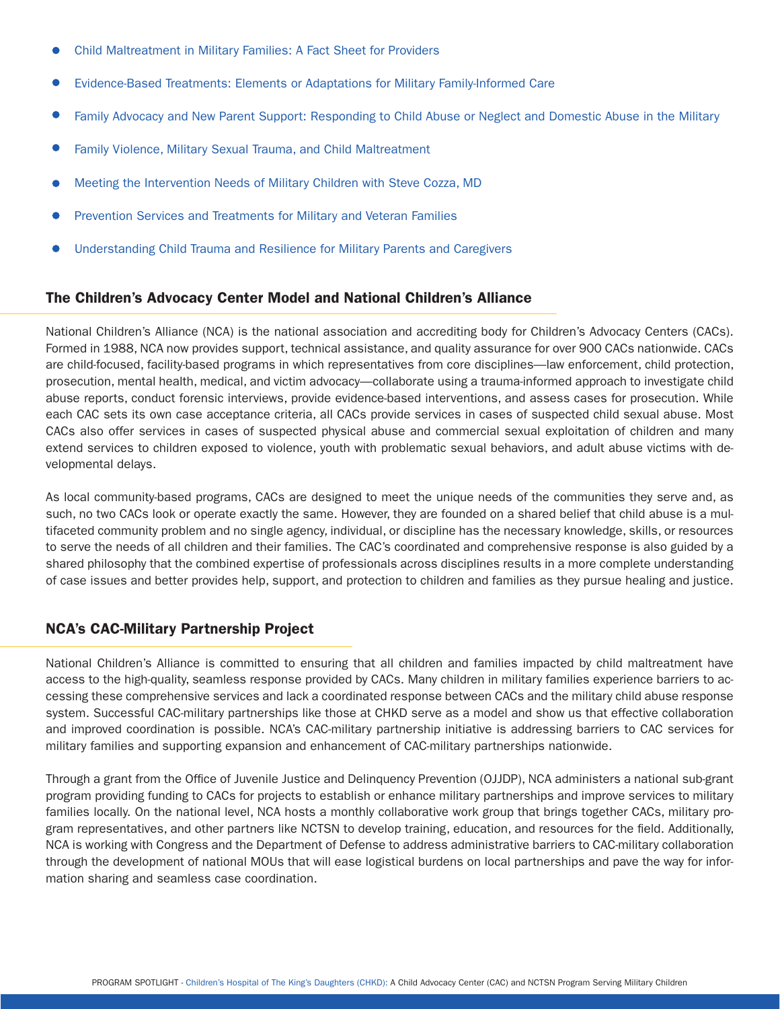- [Child Maltreatment in Military Families: A Fact Sheet for Providers](https://www.nctsn.org/resources/child-maltreatment-military-families-fact-sheet-providers)
- [Evidence-Based Treatments: Elements or Adaptations for Military Family-Informed Care](https://www.nctsn.org/resources/evidence-based-treatments-elements-or-adaptations-military-family-informed-care)
- [Family Advocacy and New Parent Support: Responding to Child Abuse or Neglect and Domestic Abuse in the Military](https://learn.nctsn.org/enrol/index.php?id=407)
- [Family Violence, Military Sexual Trauma, and Child Maltreatment](https://www.nctsn.org/resources/mcec-family-violence-military-sexual-trauma-and-child-maltreatment)   $\bullet$
- [Meeting the Intervention Needs of Military Children with Steve Cozza, MD](https://www.youtube.com/watch?v=O1egFjCEYIY)
- [Prevention Services and Treatments for Military and Veteran Families](https://www.nctsn.org/resources/mcec-prevention-services-and-treatments-military-and-veteran-families)
- Understanding Child Trauma and Resilience for Military Parents and Caregivers

#### The Children's Advocacy Center Model and National Children's Alliance

National Children's Alliance (NCA) is the national association and accrediting body for Children's Advocacy Centers (CACs). Formed in 1988, NCA now provides support, technical assistance, and quality assurance for over 900 CACs nationwide. CACs are child-focused, facility-based programs in which representatives from core disciplines—law enforcement, child protection, prosecution, mental health, medical, and victim advocacy—collaborate using a trauma-informed approach to investigate child abuse reports, conduct forensic interviews, provide evidence-based interventions, and assess cases for prosecution. While each CAC sets its own case acceptance criteria, all CACs provide services in cases of suspected child sexual abuse. Most CACs also offer services in cases of suspected physical abuse and commercial sexual exploitation of children and many extend services to children exposed to violence, youth with problematic sexual behaviors, and adult abuse victims with developmental delays.

As local community-based programs, CACs are designed to meet the unique needs of the communities they serve and, as such, no two CACs look or operate exactly the same. However, they are founded on a shared belief that child abuse is a multifaceted community problem and no single agency, individual, or discipline has the necessary knowledge, skills, or resources to serve the needs of all children and their families. The CAC's coordinated and comprehensive response is also guided by a shared philosophy that the combined expertise of professionals across disciplines results in a more complete understanding of case issues and better provides help, support, and protection to children and families as they pursue healing and justice.

#### NCA's CAC-Military Partnership Project

National Children's Alliance is committed to ensuring that all children and families impacted by child maltreatment have access to the high-quality, seamless response provided by CACs. Many children in military families experience barriers to accessing these comprehensive services and lack a coordinated response between CACs and the military child abuse response system. Successful CAC-military partnerships like those at CHKD serve as a model and show us that effective collaboration and improved coordination is possible. NCA's CAC-military partnership initiative is addressing barriers to CAC services for military families and supporting expansion and enhancement of CAC-military partnerships nationwide.

Through a grant from the Office of Juvenile Justice and Delinquency Prevention (OJJDP), NCA administers a national sub-grant program providing funding to CACs for projects to establish or enhance military partnerships and improve services to military families locally. On the national level, NCA hosts a monthly collaborative work group that brings together CACs, military program representatives, and other partners like NCTSN to develop training, education, and resources for the field. Additionally, NCA is working with Congress and the Department of Defense to address administrative barriers to CAC-military collaboration through the development of national MOUs that will ease logistical burdens on local partnerships and pave the way for information sharing and seamless case coordination.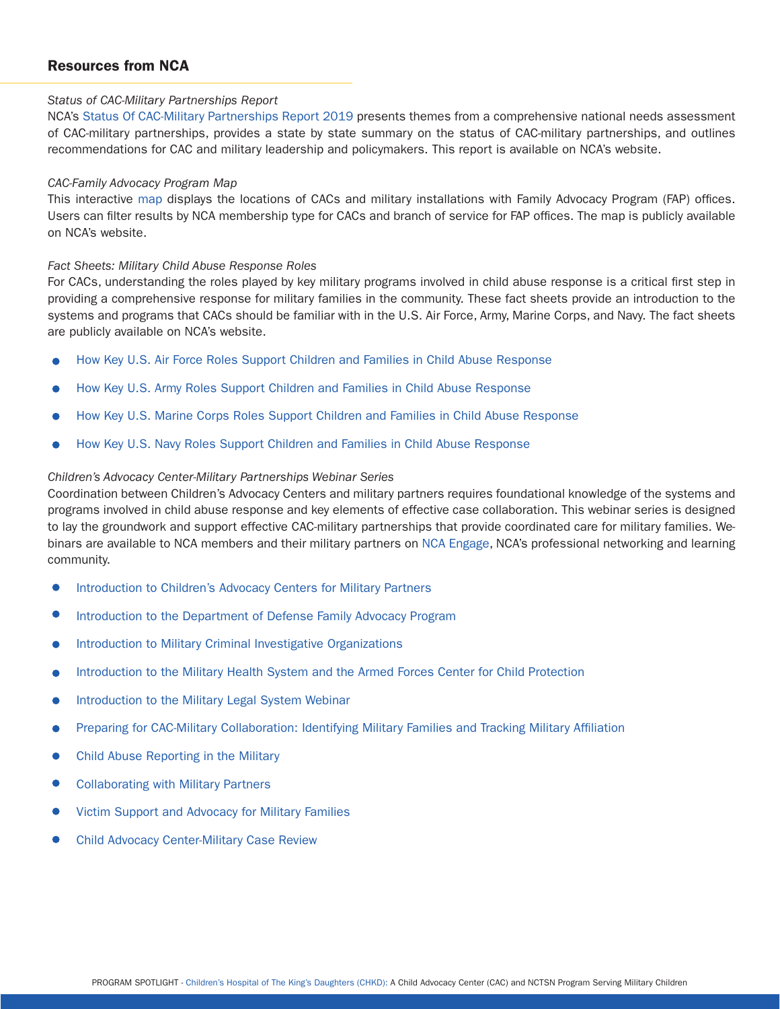#### Resources from NCA

#### *Status of CAC-Military Partnerships Report*

NCA's [Status Of CAC-Military Partnerships Report 2019](https://www.nationalchildrensalliance.org/wp-content/uploads/2019/10/NCA-Report-CACs-Military-2019-corrected.pdf) presents themes from a comprehensive national needs assessment of CAC-military partnerships, provides a state by state summary on the status of CAC-military partnerships, and outlines recommendations for CAC and military leadership and policymakers. This report is available on NCA's website.

#### *CAC-Family Advocacy Program Map*

This interactive [map](https://maps.esp.tl/maps/_CAC---Military-Family-Advocacy-Program-Gap-Map/pages/map.jsp?geoMapId=506057&TENANT_ID=132538) displays the locations of CACs and military installations with Family Advocacy Program (FAP) offices. Users can filter results by NCA membership type for CACs and branch of service for FAP offices. The map is publicly available on NCA's website.

#### *Fact Sheets: Military Child Abuse Response Roles*

For CACs, understanding the roles played by key military programs involved in child abuse response is a critical first step in providing a comprehensive response for military families in the community. These fact sheets provide an introduction to the systems and programs that CACs should be familiar with in the U.S. Air Force, Army, Marine Corps, and Navy. The fact sheets are publicly available on NCA's website.

- [How Key U.S. Air Force Roles Support Children and Families in Child Abuse Response](https://www.nationalchildrensalliance.org/wp-content/uploads/2020/07/NCA_AirForce_KeyRoles_July2020.pdf)  $\bullet$
- How Key U.S. Army Roles Support Children and Families in Child Abuse Response
- How Key U.S. Marine Corps Roles Support Children and Families in Child Abuse Response
- [How Key U.S. Navy Roles Support Children and Families in Child Abuse Response](https://www.nationalchildrensalliance.org/wp-content/uploads/2020/07/NCA_Navy_KeyRoles_July2020.pdf)

#### *Children's Advocacy Center-Military Partnerships Webinar Series*

Coordination between Children's Advocacy Centers and military partners requires foundational knowledge of the systems and programs involved in child abuse response and key elements of effective case collaboration. This webinar series is designed to lay the groundwork and support effective CAC-military partnerships that provide coordinated care for military families. Webinars are available to NCA members and their military partners on [NCA Engage](https://engage.nationalchildrensalliance.org/home), NCA's professional networking and learning community.

- [Introduction to Children's Advocacy Centers for Military Partners](https://learn.nationalchildrensalliance.org/products/introduction-to-childrens-advocacy-centers-for-military-partners)
- [Introduction to the Department of Defense Family Advocacy Program](https://learn.nationalchildrensalliance.org/products/introduction-to-the-department-of-defense-family-advocacy-program)
- [Introduction to Military Criminal Investigative Organizations](https://learn.nationalchildrensalliance.org/products/introduction-to-military-criminal-investigative-organizations)  $\bullet$
- [Introduction to the Military Health System and the Armed Forces Center for Child Protection](https://learn.nationalchildrensalliance.org/products/introduction-to-the-military-health-system-and-the-armed-forces-center-for-child-protection)
- [Introduction to the Military Legal System Webinar](https://learn.nationalchildrensalliance.org/products/introduction-to-the-military-legal-system)
- [Preparing for CAC-Military Collaboration: Identifying Military Families and Tracking Military Affiliation](https://learn.nationalchildrensalliance.org/products/preparing-for-cac-military-collaboration-identifying-military-families-and-tracking-military-affiliation)
- [Child Abuse Reporting in the Military](https://learn.nationalchildrensalliance.org/products/child-abuse-reporting-in-the-military)
- [Collaborating with Military Partners](https://learn.nationalchildrensalliance.org/products/collaborating-with-military-partners)
- [Victim Support and Advocacy for Military Families](https://learn.nationalchildrensalliance.org/products/victim-support-and-advocacy-for-military-families)
- [Child Advocacy Center-Military Case Review](https://learn.nationalchildrensalliance.org/products/childrens-advocacy-center-military-case-review)